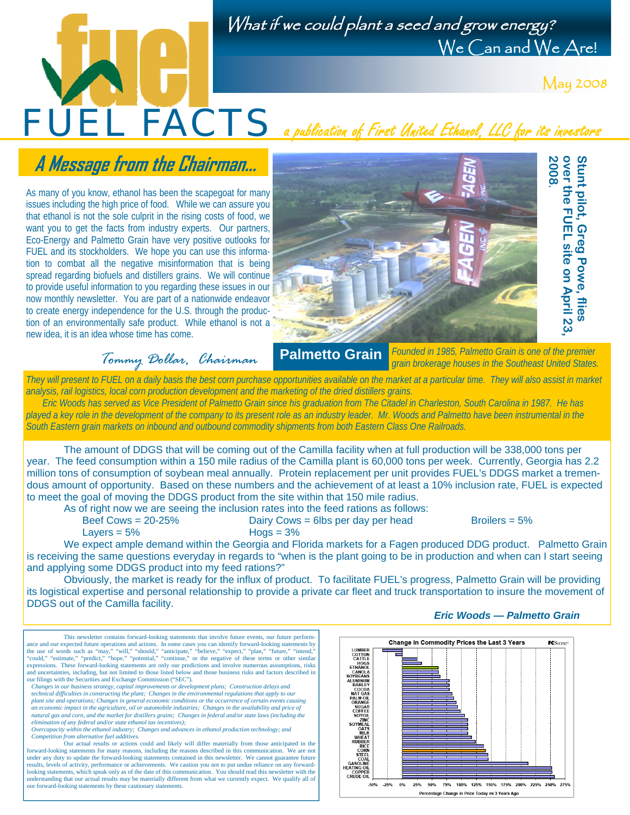## What if we could plant a seed and grow energy? We Can and We Are!

May 2008

# **A Message from the Chairman...**

As many of you know, ethanol has been the scapegoat for many issues including the high price of food. While we can assure you that ethanol is not the sole culprit in the rising costs of food, we want you to get the facts from industry experts. Our partners, Eco-Energy and Palmetto Grain have very positive outlooks for FUEL and its stockholders. We hope you can use this information to combat all the negative misinformation that is being spread regarding biofuels and distillers grains. We will continue to provide useful information to you regarding these issues in our now monthly newsletter. You are part of a nationwide endeavor to create energy independence for the U.S. through the production of an environmentally safe product. While ethanol is not a new idea, it is an idea whose time has come.



*Tommy Dollar, Chairman*  **Palmetto Grain**  *Founded in 1985, Palmetto Grain is one of the premier grain brokerage houses in the Southeast United States.* 

*They will present to FUEL on a daily basis the best corn purchase opportunities available on the market at a particular time. They will also assist in market analysis, rail logistics, local corn production development and the marketing of the dried distillers grains.* 

FUEL FACTS a publication of First United Ethanol, LLC for its investors

 *Eric Woods has served as Vice President of Palmetto Grain since his graduation from The Citadel in Charleston, South Carolina in 1987. He has played a key role in the development of the company to its present role as an industry leader. Mr. Woods and Palmetto have been instrumental in the South Eastern grain markets on inbound and outbound commodity shipments from both Eastern Class One Railroads.* 

The amount of DDGS that will be coming out of the Camilla facility when at full production will be 338,000 tons per year. The feed consumption within a 150 mile radius of the Camilla plant is 60,000 tons per week. Currently, Georgia has 2.2 million tons of consumption of soybean meal annually. Protein replacement per unit provides FUEL's DDGS market a tremendous amount of opportunity. Based on these numbers and the achievement of at least a 10% inclusion rate, FUEL is expected to meet the goal of moving the DDGS product from the site within that 150 mile radius.

As of right now we are seeing the inclusion rates into the feed rations as follows:

Dairy Cows = 6lbs per day per head Broilers = 5%

 $Lavers = 5\%$  Hogs =  $3\%$ 

our forward-looking statements by these cautionary statements

We expect ample demand within the Georgia and Florida markets for a Fagen produced DDG product. Palmetto Grain is receiving the same questions everyday in regards to "when is the plant going to be in production and when can I start seeing and applying some DDGS product into my feed rations?"

Obviously, the market is ready for the influx of product. To facilitate FUEL's progress, Palmetto Grain will be providing its logistical expertise and personal relationship to provide a private car fleet and truck transportation to insure the movement of DDGS out of the Camilla facility.

This newsletter contains forward-looking statements that involve future events, our future performance and our expected future operations and actions. In some cases you can identify forward-looking statements by<br>the use of words such as "may," "will," "should," "anticipate," "believe," "expect," "plan," "future," "inte and uncertainties, including, but not limited to those listed below and those business risks and factors described in our filings with the Securities and Exchange Commission ("SEC"). *Changes in our business strategy, capital improvements or development plans; Construction delays and technical difficulties in constructing the plant; Changes in the environmental regulations that apply to our plant site and operations; Changes in general economic conditions or the occurrence of certain events causing*  an economic impact in the agriculture, oil or automobile industries; Changes in the availability and price of<br>natural gas and corn, and the market for distillers grains; Changes in federal and/or state laws (including the  *elimination of any federal and/or state ethanol tax incentives); Overcapacity within the ethanol industry; Changes and advances in ethanol production technology; and Competition from alternative fuel additives.*  Our actual results or actions could and likely will differ materially from those anticipated in the forward-looking statements for many reasons, including the reasons described in this communication. We are not under any duty to update the forward-looking statements contained in this newsletter. We cannot guarantee future results, levels of activity, performance or achievements. We caution you not to put undue reliance on any forward-<br>looking statements, which speak only as of the date of this communication. You should read this newsletter understanding that our actual results may be materially different from what we currently expect. We qualify all of



#### *Eric Woods — Palmetto Grain*